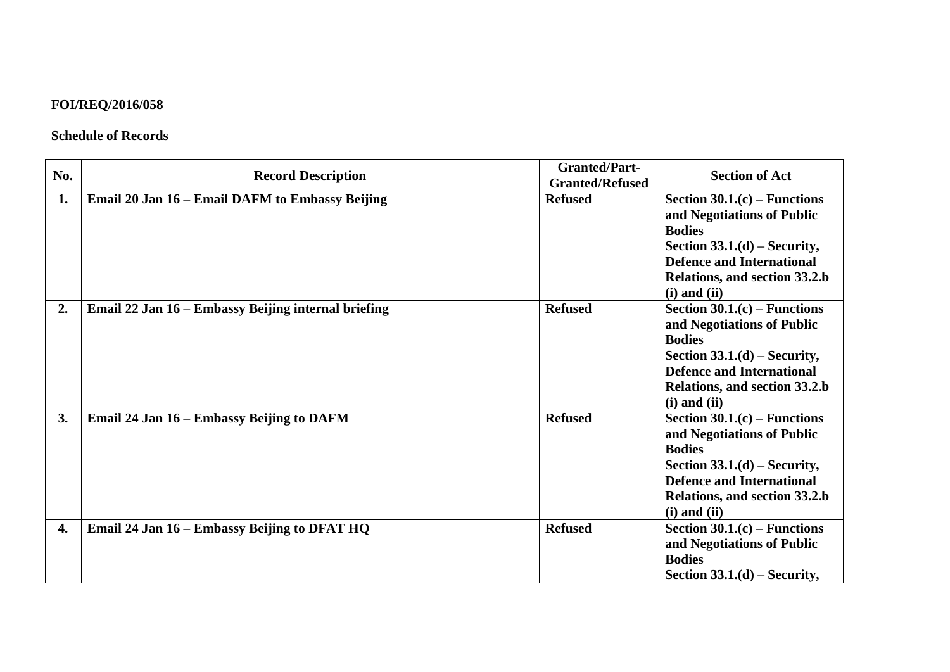## **FOI/REQ/2016/058**

## **Schedule of Records**

| No. | <b>Record Description</b>                           | <b>Granted/Part-</b><br><b>Granted/Refused</b> | <b>Section of Act</b>                                                                                                                                                                                   |
|-----|-----------------------------------------------------|------------------------------------------------|---------------------------------------------------------------------------------------------------------------------------------------------------------------------------------------------------------|
| 1.  | Email 20 Jan 16 – Email DAFM to Embassy Beijing     | <b>Refused</b>                                 | Section $30.1(c)$ – Functions<br>and Negotiations of Public<br><b>Bodies</b><br>Section $33.1(d)$ – Security,<br><b>Defence and International</b><br>Relations, and section 33.2.b<br>$(i)$ and $(ii)$  |
| 2.  | Email 22 Jan 16 – Embassy Beijing internal briefing | <b>Refused</b>                                 | Section $30.1(c)$ – Functions<br>and Negotiations of Public<br><b>Bodies</b><br>Section $33.1(d)$ – Security,<br><b>Defence and International</b><br>Relations, and section 33.2.b<br>$(i)$ and $(ii)$  |
| 3.  | Email 24 Jan 16 – Embassy Beijing to DAFM           | <b>Refused</b>                                 | Section $30.1(c)$ – Functions<br>and Negotiations of Public<br><b>Bodies</b><br>Section $33.1.(d)$ – Security,<br><b>Defence and International</b><br>Relations, and section 33.2.b<br>$(i)$ and $(ii)$ |
| 4.  | Email 24 Jan 16 – Embassy Beijing to DFAT HQ        | <b>Refused</b>                                 | Section $30.1(c)$ – Functions<br>and Negotiations of Public<br><b>Bodies</b><br>Section $33.1.(d)$ – Security,                                                                                          |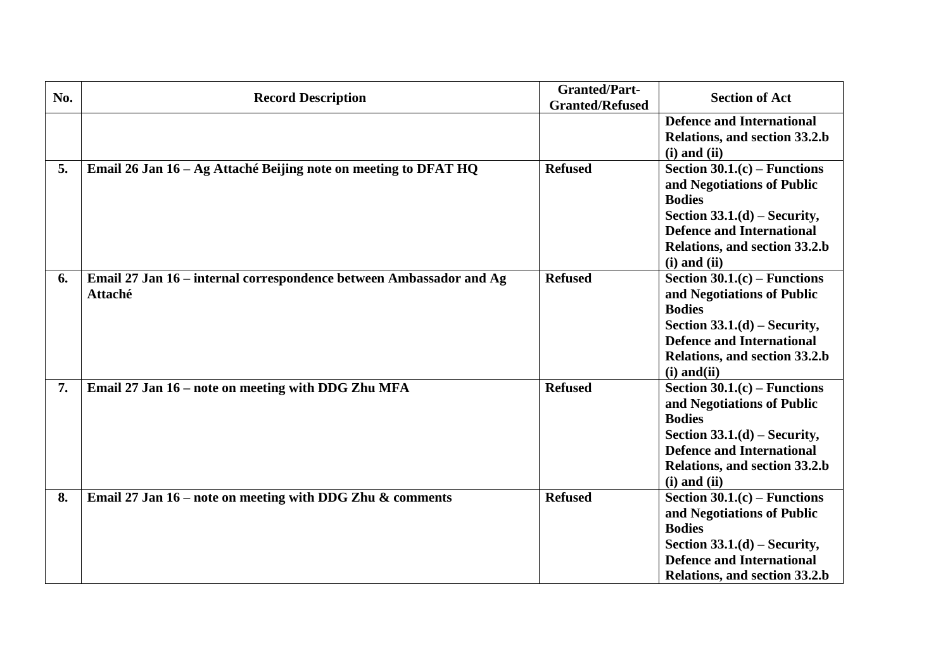| No. | <b>Record Description</b>                                                      | <b>Granted/Part-</b><br><b>Granted/Refused</b> | <b>Section of Act</b>                                                                                                                                                                                   |
|-----|--------------------------------------------------------------------------------|------------------------------------------------|---------------------------------------------------------------------------------------------------------------------------------------------------------------------------------------------------------|
|     |                                                                                |                                                | <b>Defence and International</b><br>Relations, and section 33.2.b<br>$(i)$ and $(ii)$                                                                                                                   |
| 5.  | Email 26 Jan 16 - Ag Attaché Beijing note on meeting to DFAT HQ                | <b>Refused</b>                                 | Section $30.1(c)$ – Functions<br>and Negotiations of Public<br><b>Bodies</b><br>Section $33.1.(d)$ – Security,<br><b>Defence and International</b><br>Relations, and section 33.2.b<br>$(i)$ and $(ii)$ |
| 6.  | Email 27 Jan 16 – internal correspondence between Ambassador and Ag<br>Attaché | <b>Refused</b>                                 | Section $30.1(c)$ – Functions<br>and Negotiations of Public<br><b>Bodies</b><br>Section $33.1.(d)$ – Security,<br><b>Defence and International</b><br>Relations, and section 33.2.b<br>$(i)$ and $(ii)$ |
| 7.  | Email 27 Jan 16 – note on meeting with DDG Zhu MFA                             | <b>Refused</b>                                 | Section $30.1(c)$ – Functions<br>and Negotiations of Public<br><b>Bodies</b><br>Section $33.1.(d)$ – Security,<br><b>Defence and International</b><br>Relations, and section 33.2.b<br>$(i)$ and $(ii)$ |
| 8.  | Email 27 Jan $16$ – note on meeting with DDG Zhu & comments                    | <b>Refused</b>                                 | Section $30.1(c)$ – Functions<br>and Negotiations of Public<br><b>Bodies</b><br>Section $33.1.(d)$ – Security,<br><b>Defence and International</b><br>Relations, and section 33.2.b                     |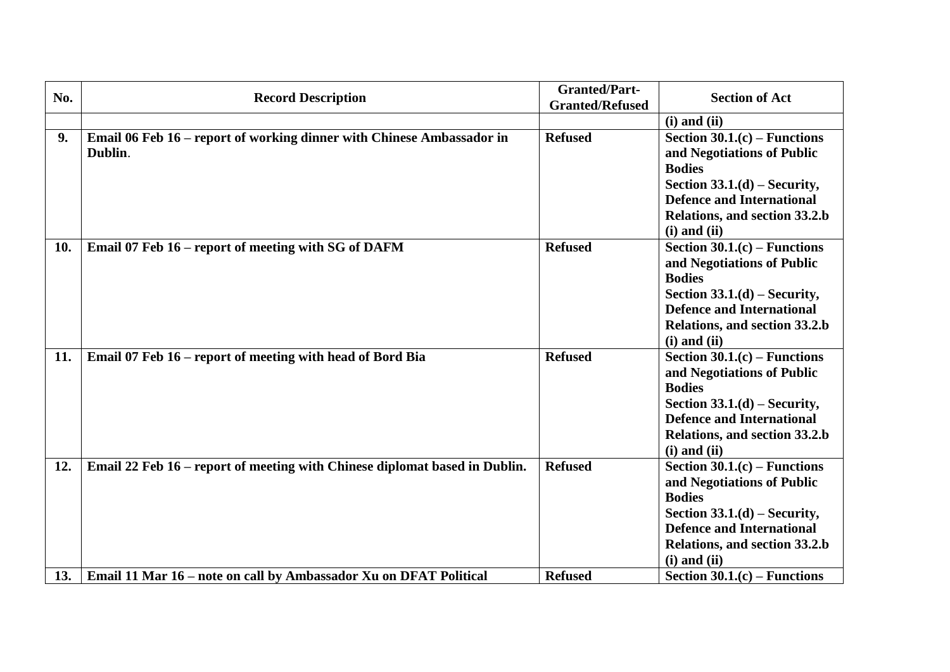| No. | <b>Record Description</b>                                                        | <b>Granted/Part-</b><br><b>Granted/Refused</b> | <b>Section of Act</b>                                                                                                                                                                                   |
|-----|----------------------------------------------------------------------------------|------------------------------------------------|---------------------------------------------------------------------------------------------------------------------------------------------------------------------------------------------------------|
|     |                                                                                  |                                                | $(i)$ and $(ii)$                                                                                                                                                                                        |
| 9.  | Email 06 Feb 16 - report of working dinner with Chinese Ambassador in<br>Dublin. | <b>Refused</b>                                 | Section $30.1(c)$ – Functions<br>and Negotiations of Public<br><b>Bodies</b><br>Section $33.1.(d)$ – Security,<br><b>Defence and International</b><br>Relations, and section 33.2.b<br>$(i)$ and $(ii)$ |
| 10. | Email 07 Feb 16 – report of meeting with SG of DAFM                              | <b>Refused</b>                                 | Section $30.1(c)$ – Functions<br>and Negotiations of Public<br><b>Bodies</b><br>Section $33.1.(d)$ – Security,<br><b>Defence and International</b><br>Relations, and section 33.2.b<br>$(i)$ and $(ii)$ |
| 11. | Email 07 Feb 16 - report of meeting with head of Bord Bia                        | <b>Refused</b>                                 | Section $30.1(c)$ – Functions<br>and Negotiations of Public<br><b>Bodies</b><br>Section $33.1.(d)$ – Security,<br><b>Defence and International</b><br>Relations, and section 33.2.b<br>$(i)$ and $(ii)$ |
| 12. | Email 22 Feb 16 – report of meeting with Chinese diplomat based in Dublin.       | <b>Refused</b>                                 | Section $30.1(c)$ – Functions<br>and Negotiations of Public<br><b>Bodies</b><br>Section $33.1.(d)$ – Security,<br><b>Defence and International</b><br>Relations, and section 33.2.b<br>$(i)$ and $(ii)$ |
| 13. | Email 11 Mar 16 – note on call by Ambassador Xu on DFAT Political                | <b>Refused</b>                                 | Section $30.1(c)$ – Functions                                                                                                                                                                           |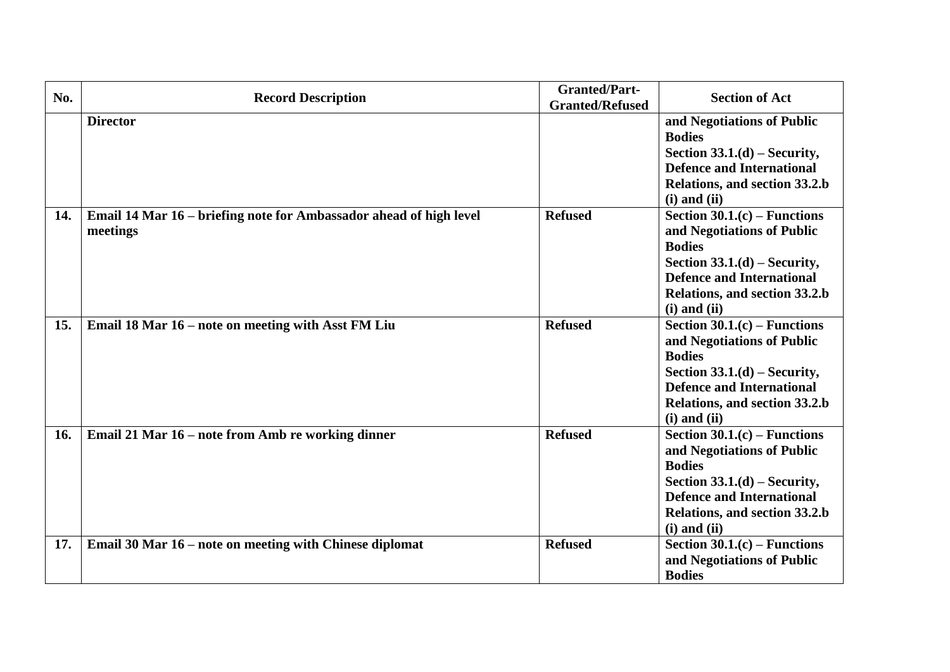| No. | <b>Record Description</b>                                                      | <b>Granted/Part-</b><br><b>Granted/Refused</b> | <b>Section of Act</b>                                                                                                                                                                                   |
|-----|--------------------------------------------------------------------------------|------------------------------------------------|---------------------------------------------------------------------------------------------------------------------------------------------------------------------------------------------------------|
|     | <b>Director</b>                                                                |                                                | and Negotiations of Public<br><b>Bodies</b><br>Section $33.1.(d)$ – Security,<br><b>Defence and International</b><br>Relations, and section 33.2.b<br>$(i)$ and $(ii)$                                  |
| 14. | Email 14 Mar 16 – briefing note for Ambassador ahead of high level<br>meetings | <b>Refused</b>                                 | Section $30.1(c)$ – Functions<br>and Negotiations of Public<br><b>Bodies</b><br>Section $33.1(d)$ – Security,<br><b>Defence and International</b><br>Relations, and section 33.2.b<br>$(i)$ and $(ii)$  |
| 15. | Email 18 Mar 16 – note on meeting with Asst FM Liu                             | <b>Refused</b>                                 | Section $30.1(c)$ – Functions<br>and Negotiations of Public<br><b>Bodies</b><br>Section $33.1.(d)$ – Security,<br><b>Defence and International</b><br>Relations, and section 33.2.b<br>$(i)$ and $(ii)$ |
| 16. | Email 21 Mar 16 – note from Amb re working dinner                              | <b>Refused</b>                                 | Section $30.1(c)$ – Functions<br>and Negotiations of Public<br><b>Bodies</b><br>Section $33.1.(d)$ – Security,<br><b>Defence and International</b><br>Relations, and section 33.2.b<br>$(i)$ and $(ii)$ |
| 17. | Email 30 Mar 16 – note on meeting with Chinese diplomat                        | <b>Refused</b>                                 | Section $30.1(c)$ – Functions<br>and Negotiations of Public<br><b>Bodies</b>                                                                                                                            |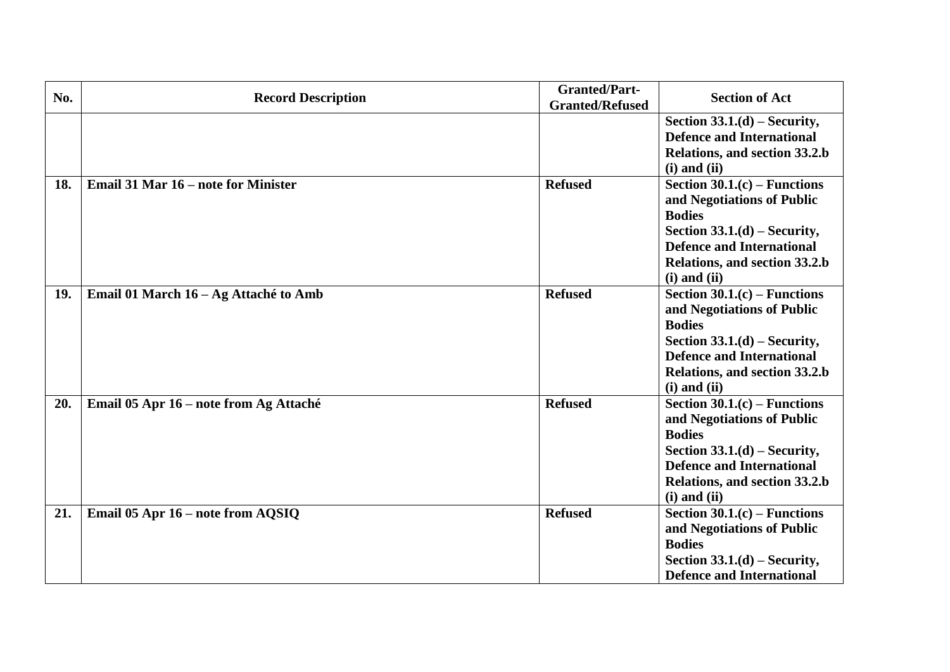| No. | <b>Record Description</b>              | <b>Granted/Part-</b><br><b>Granted/Refused</b> | <b>Section of Act</b>                                                                                                                                                                                   |
|-----|----------------------------------------|------------------------------------------------|---------------------------------------------------------------------------------------------------------------------------------------------------------------------------------------------------------|
|     |                                        |                                                | Section $33.1.(d) - Security$ ,<br><b>Defence and International</b><br>Relations, and section 33.2.b<br>$(i)$ and $(ii)$                                                                                |
| 18. | Email 31 Mar 16 – note for Minister    | <b>Refused</b>                                 | Section $30.1(c)$ – Functions<br>and Negotiations of Public<br><b>Bodies</b><br>Section $33.1.(d)$ – Security,<br><b>Defence and International</b><br>Relations, and section 33.2.b<br>$(i)$ and $(ii)$ |
| 19. | Email 01 March 16 – Ag Attaché to Amb  | <b>Refused</b>                                 | Section $30.1(c)$ – Functions<br>and Negotiations of Public<br><b>Bodies</b><br>Section $33.1.(d)$ – Security,<br><b>Defence and International</b><br>Relations, and section 33.2.b<br>$(i)$ and $(ii)$ |
| 20. | Email 05 Apr 16 – note from Ag Attaché | <b>Refused</b>                                 | Section $30.1(c)$ – Functions<br>and Negotiations of Public<br><b>Bodies</b><br>Section $33.1.(d)$ – Security,<br><b>Defence and International</b><br>Relations, and section 33.2.b<br>$(i)$ and $(ii)$ |
| 21. | Email 05 Apr 16 – note from AQSIQ      | <b>Refused</b>                                 | Section $30.1(c)$ – Functions<br>and Negotiations of Public<br><b>Bodies</b><br>Section $33.1.(d)$ – Security,<br><b>Defence and International</b>                                                      |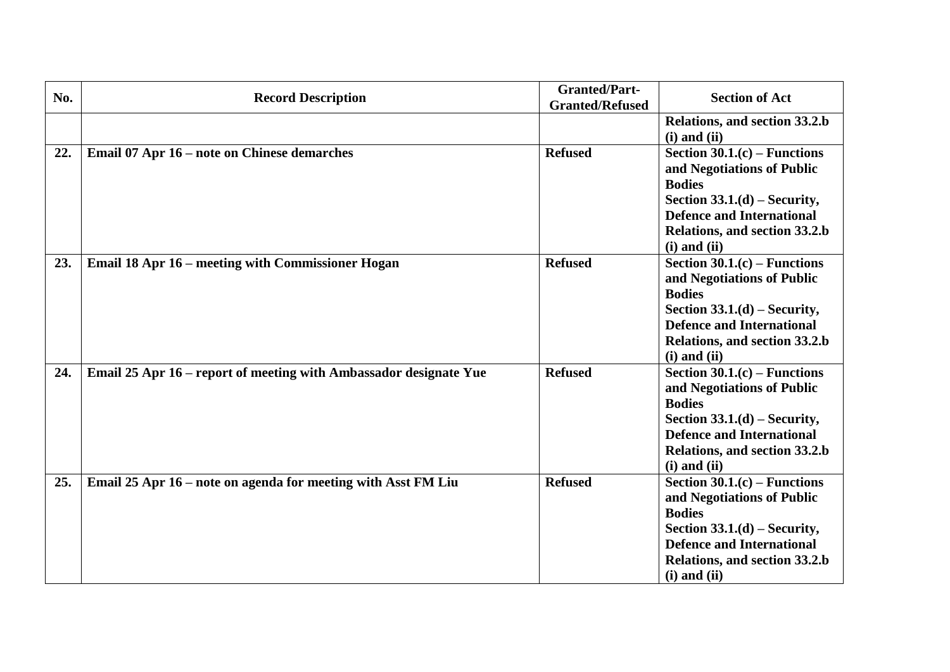| No. | <b>Record Description</b>                                         | <b>Granted/Part-</b><br><b>Granted/Refused</b> | <b>Section of Act</b>                                                                                                                                                                                    |
|-----|-------------------------------------------------------------------|------------------------------------------------|----------------------------------------------------------------------------------------------------------------------------------------------------------------------------------------------------------|
|     |                                                                   |                                                | Relations, and section 33.2.b<br>$(i)$ and $(ii)$                                                                                                                                                        |
| 22. | Email 07 Apr 16 – note on Chinese demarches                       | <b>Refused</b>                                 | Section $30.1(c)$ – Functions<br>and Negotiations of Public<br><b>Bodies</b><br>Section $33.1.(d) - Security$ ,<br><b>Defence and International</b><br>Relations, and section 33.2.b<br>$(i)$ and $(ii)$ |
| 23. | <b>Email 18 Apr 16 – meeting with Commissioner Hogan</b>          | <b>Refused</b>                                 | Section $30.1(c)$ – Functions<br>and Negotiations of Public<br><b>Bodies</b><br>Section $33.1.(d)$ – Security,<br><b>Defence and International</b><br>Relations, and section 33.2.b<br>$(i)$ and $(ii)$  |
| 24. | Email 25 Apr 16 - report of meeting with Ambassador designate Yue | <b>Refused</b>                                 | Section $30.1(c)$ – Functions<br>and Negotiations of Public<br><b>Bodies</b><br>Section $33.1.(d)$ – Security,<br><b>Defence and International</b><br>Relations, and section 33.2.b<br>$(i)$ and $(ii)$  |
| 25. | Email 25 Apr 16 – note on agenda for meeting with Asst FM Liu     | <b>Refused</b>                                 | Section $30.1(c)$ – Functions<br>and Negotiations of Public<br><b>Bodies</b><br>Section $33.1.(d)$ – Security,<br><b>Defence and International</b><br>Relations, and section 33.2.b<br>$(i)$ and $(ii)$  |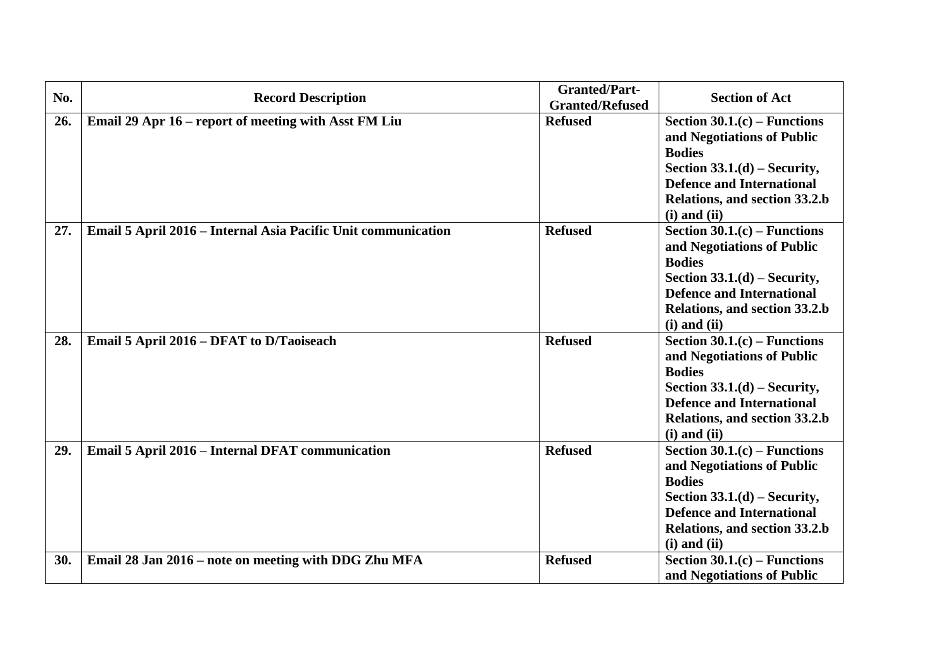| No. | <b>Record Description</b>                                     | <b>Granted/Part-</b><br><b>Granted/Refused</b> | <b>Section of Act</b>                                                                                                                                                                                   |
|-----|---------------------------------------------------------------|------------------------------------------------|---------------------------------------------------------------------------------------------------------------------------------------------------------------------------------------------------------|
| 26. | Email 29 Apr 16 – report of meeting with Asst FM Liu          | <b>Refused</b>                                 | Section $30.1(c)$ – Functions<br>and Negotiations of Public<br><b>Bodies</b><br>Section $33.1.(d)$ – Security,<br><b>Defence and International</b><br>Relations, and section 33.2.b<br>$(i)$ and $(ii)$ |
| 27. | Email 5 April 2016 - Internal Asia Pacific Unit communication | <b>Refused</b>                                 | Section $30.1(c)$ – Functions<br>and Negotiations of Public<br><b>Bodies</b><br>Section $33.1.(d)$ – Security,<br><b>Defence and International</b><br>Relations, and section 33.2.b<br>$(i)$ and $(ii)$ |
| 28. | Email 5 April 2016 – DFAT to D/Taoiseach                      | <b>Refused</b>                                 | Section $30.1(c)$ – Functions<br>and Negotiations of Public<br><b>Bodies</b><br>Section $33.1.(d)$ – Security,<br><b>Defence and International</b><br>Relations, and section 33.2.b<br>$(i)$ and $(ii)$ |
| 29. | Email 5 April 2016 - Internal DFAT communication              | <b>Refused</b>                                 | Section $30.1(c)$ – Functions<br>and Negotiations of Public<br><b>Bodies</b><br>Section $33.1.(d)$ – Security,<br><b>Defence and International</b><br>Relations, and section 33.2.b<br>$(i)$ and $(ii)$ |
| 30. | Email 28 Jan 2016 – note on meeting with DDG Zhu MFA          | <b>Refused</b>                                 | Section $30.1(c)$ – Functions<br>and Negotiations of Public                                                                                                                                             |